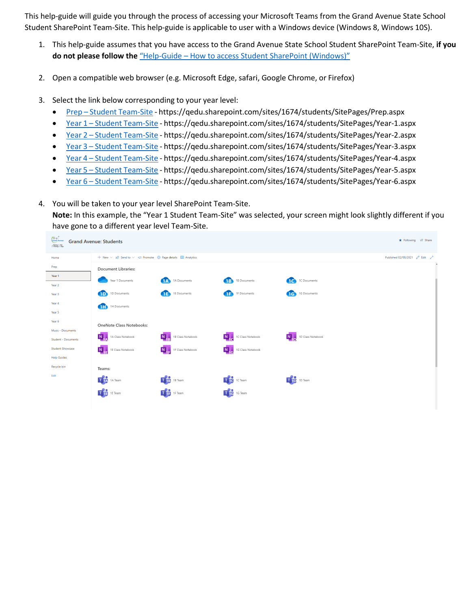This help-guide will guide you through the process of accessing your Microsoft Teams from the Grand Avenue State School Student SharePoint Team-Site. This help-guide is applicable to user with a Windows device (Windows 8, Windows 10S).

- 1. This help-guide assumes that you have access to the Grand Avenue State School Student SharePoint Team-Site, **if you do not please follow the** "Help-Guide – How to access [Student SharePoint](https://grandavenuess.eq.edu.au/SupportAndResources/FormsAndDocuments/Documents/BYOx%20documents/Help-Guide%20-%20How%20to%20access%20Student%20SharePoint%20(Windows).pdf) (Windows)"
- 2. Open a compatible web browser (e.g. Microsoft Edge, safari, Google Chrome, or Firefox)
- 3. Select the link below corresponding to your year level:
	- Prep Student [Team-Site](https://qedu.sharepoint.com/sites/1674/students/SitePages/Prep.aspx) https://qedu.sharepoint.com/sites/1674/students/SitePages/Prep.aspx
	- Year 1 Student [Team-Site](https://qedu.sharepoint.com/sites/1674/students/SitePages/Year-1.aspx) https://qedu.sharepoint.com/sites/1674/students/SitePages/Year-1.aspx
	- Year 2 Student [Team-Site](https://qedu.sharepoint.com/sites/1674/students/SitePages/Year-2.aspx) https://qedu.sharepoint.com/sites/1674/students/SitePages/Year-2.aspx
	- Year 3 Student [Team-Site](https://qedu.sharepoint.com/sites/1674/students/SitePages/Year-3.aspx) https://qedu.sharepoint.com/sites/1674/students/SitePages/Year-3.aspx
	- Year 4 Student [Team-Site](https://qedu.sharepoint.com/sites/1674/students/SitePages/Year-4.aspx) https://qedu.sharepoint.com/sites/1674/students/SitePages/Year-4.aspx
	- Year 5 Student [Team-Site](https://qedu.sharepoint.com/sites/1674/students/SitePages/Year-5.aspx) https://qedu.sharepoint.com/sites/1674/students/SitePages/Year-5.aspx
	- Year 6 Student Team-Site https://qedu.sharepoint.com/sites/1674/students/SitePages/Year-6.aspx
- 4. You will be taken to your year level SharePoint Team-Site. **Note:** In this example, the "Year 1 Student Team-Site" was selected, your screen might look slightly different if you have gone to a different year level Team-Site.

| <b>Cramb</b> Percent<br>Schilding the Bar<br>Collasing the Gap | <b>Grand Avenue: Students</b>                             |                                  |                                  |                           | ★ Following Le Share          |  |  |
|----------------------------------------------------------------|-----------------------------------------------------------|----------------------------------|----------------------------------|---------------------------|-------------------------------|--|--|
| Home                                                           | + New ∨ in Send to v < Promote @ Page details a Analytics |                                  |                                  |                           | Published 02/08/2021 2 Edit 2 |  |  |
| Prep                                                           | <b>Document Libraries:</b>                                |                                  |                                  |                           | $\blacktriangle$              |  |  |
| Year 1<br>Year 2                                               | Year 1 Documents                                          | 1A Documents<br>$\sqrt{10}$      | <b>TR</b><br>1B Documents        | 1C Documents<br>æ         |                               |  |  |
| Year 3                                                         | <b>TD</b><br>1D Documents                                 | 1E Documents<br>Œ                | 1F Documents<br>Œ                | 1G Documents<br><b>TG</b> |                               |  |  |
| Year 4                                                         | Œ<br>1H Documents                                         |                                  |                                  |                           |                               |  |  |
| Year 5                                                         |                                                           |                                  |                                  |                           |                               |  |  |
| Year 6                                                         | <b>OneNote Class Notebooks:</b>                           |                                  |                                  |                           |                               |  |  |
| Music - Documents<br><b>Student - Documents</b>                | N 1A Class Notebook                                       | N 1B Class Notebook              | N <sub>1</sub> 1C Class Notebook | N<br>1D Class Notebook    |                               |  |  |
| <b>Student Showcase</b>                                        | N <sub>1</sub> 1E Class Notebook                          | N <sub>1</sub> 1F Class Notebook | Notebook                         |                           |                               |  |  |
| <b>Help Guides</b>                                             |                                                           |                                  |                                  |                           |                               |  |  |
| Recycle bin                                                    | Teams:                                                    |                                  |                                  |                           |                               |  |  |
| Edit                                                           | T <sub>14</sub> 1A Team                                   | T <sub>1</sub> B 18 Team         | T <sub>1C</sub> 1C Team          | T <sub>1D</sub> 1D Team   |                               |  |  |
|                                                                | The Team                                                  | T <sub>17</sub> 1F Team          | T <sub>10</sub> 1G Team          |                           |                               |  |  |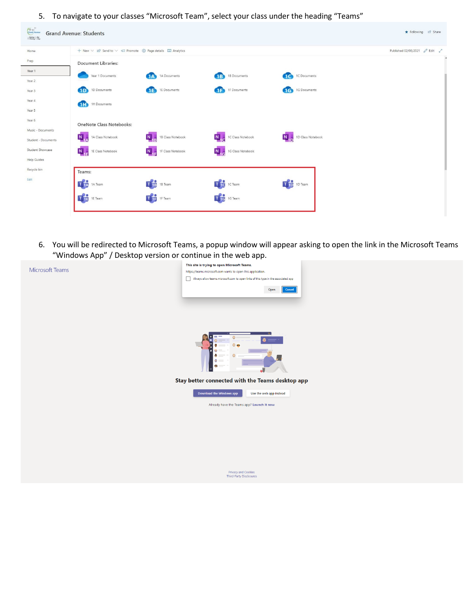5. To navigate to your classes "Microsoft Team", select your class under the heading "Teams"

| Contractor<br><b>Grand Avenue: Students</b><br>$\label{eq:constr} \begin{array}{c} \displaystyle \frac{\partial \phi \mathrm{d} \phi}{\partial \phi \mathrm{d} \phi} \wedge \mathrm{d} \theta \mathrm{d} \phi \\ \displaystyle \frac{\partial \phi \mathrm{d} \phi}{\partial \phi \mathrm{d} \phi} \wedge \mathrm{d} \theta \mathrm{d} \phi \end{array}$ | Following & Share                                         |                                  |                                  |                                          |                               |
|----------------------------------------------------------------------------------------------------------------------------------------------------------------------------------------------------------------------------------------------------------------------------------------------------------------------------------------------------------|-----------------------------------------------------------|----------------------------------|----------------------------------|------------------------------------------|-------------------------------|
| Home                                                                                                                                                                                                                                                                                                                                                     | + New ∨ Le Send to ∨ < Promote @ Page details E Analytics |                                  |                                  |                                          | Published 02/08/2021 2 Edit 2 |
| Prep                                                                                                                                                                                                                                                                                                                                                     | <b>Document Libraries:</b>                                |                                  |                                  |                                          | $\blacktriangle$              |
| Year 1<br>Year 2                                                                                                                                                                                                                                                                                                                                         | Year 1 Documents                                          | 1A Documents                     | 1B Documents                     | 1C Documents<br>$\overline{\phantom{a}}$ |                               |
| Year 3                                                                                                                                                                                                                                                                                                                                                   | <b>TD</b><br>1D Documents                                 | 1E Documents<br>Æ                | 1F Documents<br>AB.              | 1G Documents<br>$\overline{\mathbf{G}}$  |                               |
| Year 4                                                                                                                                                                                                                                                                                                                                                   | <b>GTID</b><br>1H Documents                               |                                  |                                  |                                          |                               |
| Year 5                                                                                                                                                                                                                                                                                                                                                   |                                                           |                                  |                                  |                                          |                               |
| Year 6                                                                                                                                                                                                                                                                                                                                                   | <b>OneNote Class Notebooks:</b>                           |                                  |                                  |                                          |                               |
| Music - Documents                                                                                                                                                                                                                                                                                                                                        | 1A Class Notebook                                         | 1B Class Notebook                | $N_{\perp}$<br>1C Class Notebook | N <sub>L</sub><br>1D Class Notebook      |                               |
| Student - Documents                                                                                                                                                                                                                                                                                                                                      | $N_{1}$                                                   |                                  |                                  |                                          |                               |
| Student Showcase                                                                                                                                                                                                                                                                                                                                         | N <sub>13</sub> 1E Class Notebook                         | N <sub>1</sub> 1F Class Notebook | N 1G Class Notebook              |                                          |                               |
| <b>Help Guides</b>                                                                                                                                                                                                                                                                                                                                       |                                                           |                                  |                                  |                                          |                               |
| Recycle bin                                                                                                                                                                                                                                                                                                                                              | Teams:                                                    |                                  |                                  |                                          |                               |
| Edit                                                                                                                                                                                                                                                                                                                                                     | T <sub>14</sub> 1A Team                                   | T <sub>1B</sub> 18 Team          | The 1C Team                      | T <sub>1D</sub> 1D Team                  |                               |
|                                                                                                                                                                                                                                                                                                                                                          | T <sub>18</sub> 1E Team                                   | T <sub>1</sub> 1F Team           | The 1G Team                      |                                          |                               |
|                                                                                                                                                                                                                                                                                                                                                          |                                                           |                                  |                                  |                                          |                               |

6. You will be redirected to Microsoft Teams, a popup window will appear asking to open the link in the Microsoft Teams "Windows App" / Desktop version or continue in the web app.

| This site is trying to open Microsoft Teams.                                      |
|-----------------------------------------------------------------------------------|
| https://teams.microsoft.com wants to open this application.                       |
| Always allow teams.microsoft.com to open links of this type in the associated app |
| $Cancel$<br>Open                                                                  |
|                                                                                   |
|                                                                                   |
|                                                                                   |
|                                                                                   |
|                                                                                   |
|                                                                                   |
|                                                                                   |
|                                                                                   |
| ø                                                                                 |
|                                                                                   |
|                                                                                   |
|                                                                                   |
| Stay better connected with the Teams desktop app                                  |
| Download the Windows app<br>Use the web app instead                               |
|                                                                                   |
| Already have the Teams app? Launch it now                                         |
|                                                                                   |
|                                                                                   |
|                                                                                   |
|                                                                                   |
|                                                                                   |
|                                                                                   |
|                                                                                   |
|                                                                                   |
| Privacy and Cookies                                                               |
| Third-Party Disclosures                                                           |
|                                                                                   |